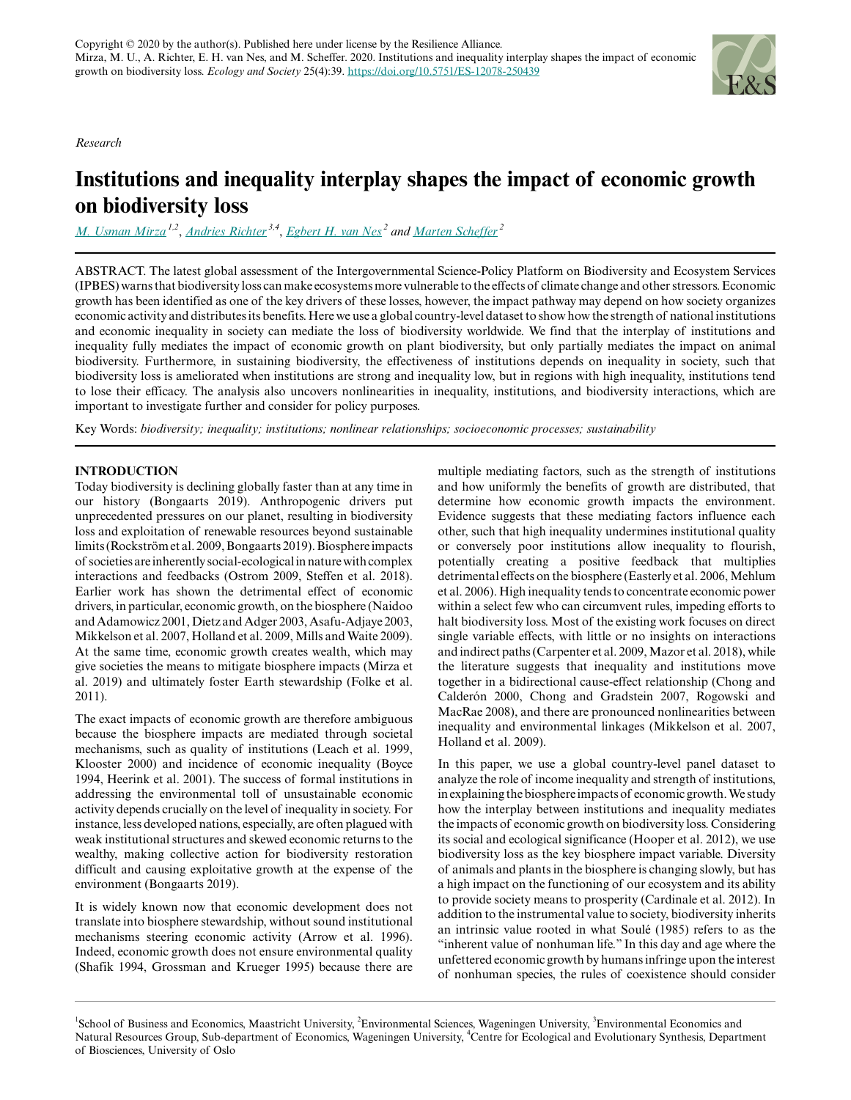*Research*



# **Institutions and inequality interplay shapes the impact of economic growth on biodiversity loss**

*[M. Usman Mirza](mailto:m.mirza@maastrichtuniversity.nl) 1,2* , *[Andries Richter](mailto:andries.richter@wur.nl) 3,4* , *[Egbert H. van Nes](mailto:Egbert.vannes@wur.nl)<sup>2</sup> and [Marten Scheffer](mailto:Marten.Scheffer@wur.nl)<sup>2</sup>*

ABSTRACT. The latest global assessment of the Intergovernmental Science-Policy Platform on Biodiversity and Ecosystem Services (IPBES) warns that biodiversity loss can make ecosystems more vulnerable to the effects of climate change and other stressors. Economic growth has been identified as one of the key drivers of these losses, however, the impact pathway may depend on how society organizes economic activity and distributes its benefits. Here we use a global country-level dataset to show how the strength of national institutions and economic inequality in society can mediate the loss of biodiversity worldwide. We find that the interplay of institutions and inequality fully mediates the impact of economic growth on plant biodiversity, but only partially mediates the impact on animal biodiversity. Furthermore, in sustaining biodiversity, the effectiveness of institutions depends on inequality in society, such that biodiversity loss is ameliorated when institutions are strong and inequality low, but in regions with high inequality, institutions tend to lose their efficacy. The analysis also uncovers nonlinearities in inequality, institutions, and biodiversity interactions, which are important to investigate further and consider for policy purposes.

Key Words: *biodiversity; inequality; institutions; nonlinear relationships; socioeconomic processes; sustainability*

# **INTRODUCTION**

Today biodiversity is declining globally faster than at any time in our history (Bongaarts 2019). Anthropogenic drivers put unprecedented pressures on our planet, resulting in biodiversity loss and exploitation of renewable resources beyond sustainable limits (Rockström et al. 2009, Bongaarts 2019). Biosphere impacts of societies are inherently social-ecological in nature with complex interactions and feedbacks (Ostrom 2009, Steffen et al. 2018). Earlier work has shown the detrimental effect of economic drivers, in particular, economic growth, on the biosphere (Naidoo and Adamowicz 2001, Dietz and Adger 2003, Asafu-Adjaye 2003, Mikkelson et al. 2007, Holland et al. 2009, Mills and Waite 2009). At the same time, economic growth creates wealth, which may give societies the means to mitigate biosphere impacts (Mirza et al. 2019) and ultimately foster Earth stewardship (Folke et al. 2011).

The exact impacts of economic growth are therefore ambiguous because the biosphere impacts are mediated through societal mechanisms, such as quality of institutions (Leach et al. 1999, Klooster 2000) and incidence of economic inequality (Boyce 1994, Heerink et al. 2001). The success of formal institutions in addressing the environmental toll of unsustainable economic activity depends crucially on the level of inequality in society. For instance, less developed nations, especially, are often plagued with weak institutional structures and skewed economic returns to the wealthy, making collective action for biodiversity restoration difficult and causing exploitative growth at the expense of the environment (Bongaarts 2019).

It is widely known now that economic development does not translate into biosphere stewardship, without sound institutional mechanisms steering economic activity (Arrow et al. 1996). Indeed, economic growth does not ensure environmental quality (Shafik 1994, Grossman and Krueger 1995) because there are multiple mediating factors, such as the strength of institutions and how uniformly the benefits of growth are distributed, that determine how economic growth impacts the environment. Evidence suggests that these mediating factors influence each other, such that high inequality undermines institutional quality or conversely poor institutions allow inequality to flourish, potentially creating a positive feedback that multiplies detrimental effects on the biosphere (Easterly et al. 2006, Mehlum et al. 2006). High inequality tends to concentrate economic power within a select few who can circumvent rules, impeding efforts to halt biodiversity loss. Most of the existing work focuses on direct single variable effects, with little or no insights on interactions and indirect paths (Carpenter et al. 2009, Mazor et al. 2018), while the literature suggests that inequality and institutions move together in a bidirectional cause-effect relationship (Chong and Calderón 2000, Chong and Gradstein 2007, Rogowski and MacRae 2008), and there are pronounced nonlinearities between inequality and environmental linkages (Mikkelson et al. 2007, Holland et al. 2009).

In this paper, we use a global country-level panel dataset to analyze the role of income inequality and strength of institutions, in explaining the biosphere impacts of economic growth. We study how the interplay between institutions and inequality mediates the impacts of economic growth on biodiversity loss. Considering its social and ecological significance (Hooper et al. 2012), we use biodiversity loss as the key biosphere impact variable. Diversity of animals and plants in the biosphere is changing slowly, but has a high impact on the functioning of our ecosystem and its ability to provide society means to prosperity (Cardinale et al. 2012). In addition to the instrumental value to society, biodiversity inherits an intrinsic value rooted in what Soulé (1985) refers to as the "inherent value of nonhuman life." In this day and age where the unfettered economic growth by humans infringe upon the interest of nonhuman species, the rules of coexistence should consider

<sup>&</sup>lt;sup>1</sup>School of Business and Economics, Maastricht University, <sup>2</sup>Environmental Sciences, Wageningen University, <sup>3</sup>Environmental Economics and Natural Resources Group, Sub-department of Economics, Wageningen University, <sup>4</sup>Centre for Ecological and Evolutionary Synthesis, Department of Biosciences, University of Oslo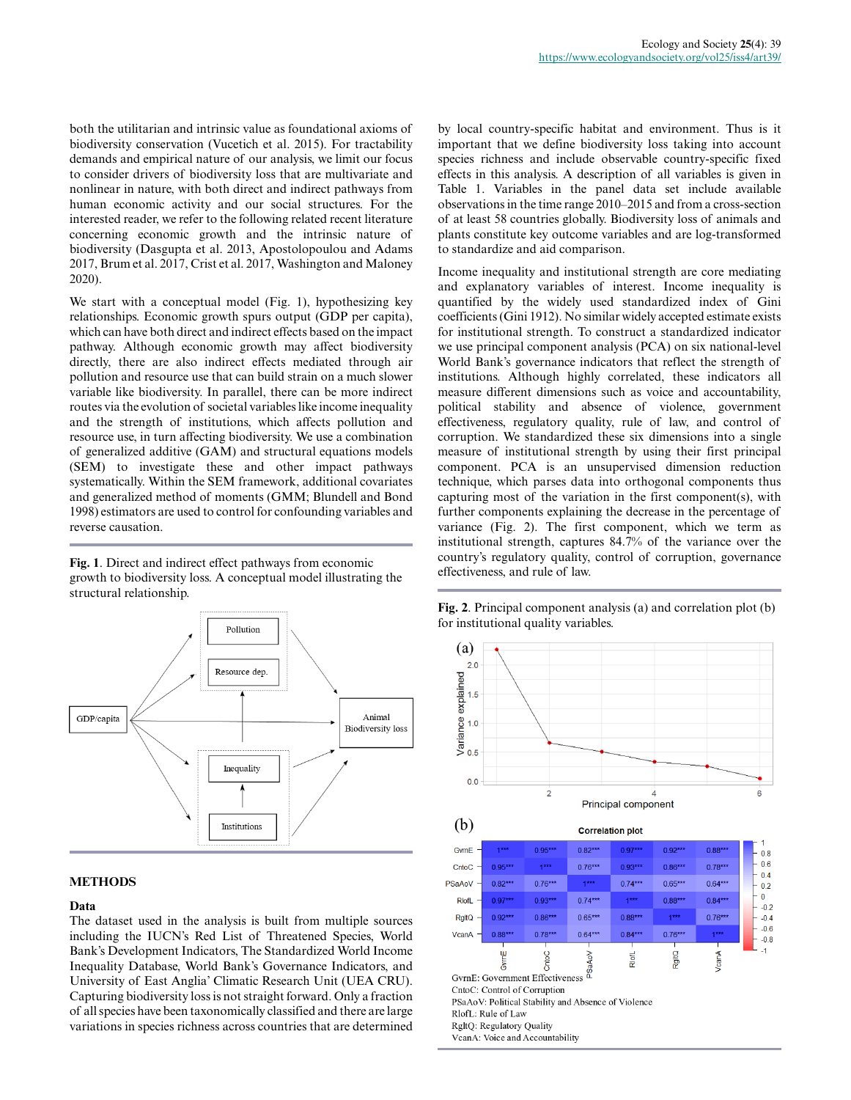both the utilitarian and intrinsic value as foundational axioms of biodiversity conservation (Vucetich et al. 2015). For tractability demands and empirical nature of our analysis, we limit our focus to consider drivers of biodiversity loss that are multivariate and nonlinear in nature, with both direct and indirect pathways from human economic activity and our social structures. For the interested reader, we refer to the following related recent literature concerning economic growth and the intrinsic nature of biodiversity (Dasgupta et al. 2013, Apostolopoulou and Adams 2017, Brum et al. 2017, Crist et al. 2017, Washington and Maloney 2020).

We start with a conceptual model (Fig. 1), hypothesizing key relationships. Economic growth spurs output (GDP per capita), which can have both direct and indirect effects based on the impact pathway. Although economic growth may affect biodiversity directly, there are also indirect effects mediated through air pollution and resource use that can build strain on a much slower variable like biodiversity. In parallel, there can be more indirect routes via the evolution of societal variables like income inequality and the strength of institutions, which affects pollution and resource use, in turn affecting biodiversity. We use a combination of generalized additive (GAM) and structural equations models (SEM) to investigate these and other impact pathways systematically. Within the SEM framework, additional covariates and generalized method of moments (GMM; Blundell and Bond 1998) estimators are used to control for confounding variables and reverse causation.

**Fig. 1**. Direct and indirect effect pathways from economic growth to biodiversity loss. A conceptual model illustrating the structural relationship.



## **METHODS**

#### **Data**

The dataset used in the analysis is built from multiple sources including the IUCN's Red List of Threatened Species, World Bank's Development Indicators, The Standardized World Income Inequality Database, World Bank's Governance Indicators, and University of East Anglia' Climatic Research Unit (UEA CRU). Capturing biodiversity loss is not straight forward. Only a fraction of all species have been taxonomically classified and there are large variations in species richness across countries that are determined

by local country-specific habitat and environment. Thus is it important that we define biodiversity loss taking into account species richness and include observable country-specific fixed effects in this analysis. A description of all variables is given in Table 1. Variables in the panel data set include available observations in the time range 2010–2015 and from a cross-section of at least 58 countries globally. Biodiversity loss of animals and plants constitute key outcome variables and are log-transformed to standardize and aid comparison.

Income inequality and institutional strength are core mediating and explanatory variables of interest. Income inequality is quantified by the widely used standardized index of Gini coefficients (Gini 1912). No similar widely accepted estimate exists for institutional strength. To construct a standardized indicator we use principal component analysis (PCA) on six national-level World Bank's governance indicators that reflect the strength of institutions. Although highly correlated, these indicators all measure different dimensions such as voice and accountability, political stability and absence of violence, government effectiveness, regulatory quality, rule of law, and control of corruption. We standardized these six dimensions into a single measure of institutional strength by using their first principal component. PCA is an unsupervised dimension reduction technique, which parses data into orthogonal components thus capturing most of the variation in the first component(s), with further components explaining the decrease in the percentage of variance (Fig. 2). The first component, which we term as institutional strength, captures 84.7% of the variance over the country's regulatory quality, control of corruption, governance effectiveness, and rule of law.

**Fig. 2**. Principal component analysis (a) and correlation plot (b) for institutional quality variables.

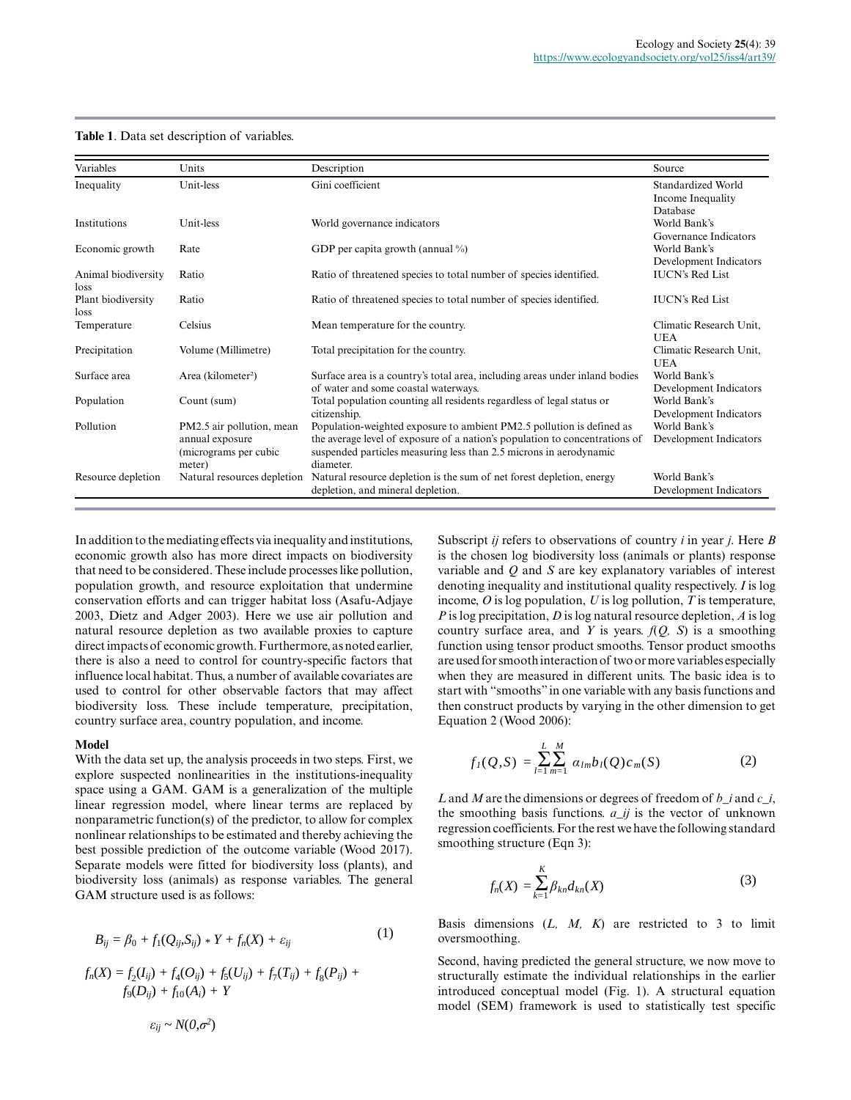#### **Table 1**. Data set description of variables.

| Variables                   | Units                                                                           | Description                                                                                                                                                                                                                             | Source                                              |
|-----------------------------|---------------------------------------------------------------------------------|-----------------------------------------------------------------------------------------------------------------------------------------------------------------------------------------------------------------------------------------|-----------------------------------------------------|
| Inequality                  | Unit-less                                                                       | Gini coefficient                                                                                                                                                                                                                        | Standardized World<br>Income Inequality<br>Database |
| Institutions                | Unit-less                                                                       | World governance indicators                                                                                                                                                                                                             | World Bank's<br>Governance Indicators               |
| Economic growth             | Rate                                                                            | GDP per capita growth (annual $\%$ )                                                                                                                                                                                                    | World Bank's<br>Development Indicators              |
| Animal biodiversity<br>loss | Ratio                                                                           | Ratio of threatened species to total number of species identified.                                                                                                                                                                      | <b>IUCN's Red List</b>                              |
| Plant biodiversity<br>loss  | Ratio                                                                           | Ratio of threatened species to total number of species identified.                                                                                                                                                                      | <b>IUCN's Red List</b>                              |
| Temperature                 | Celsius                                                                         | Mean temperature for the country.                                                                                                                                                                                                       | Climatic Research Unit.<br><b>UEA</b>               |
| Precipitation               | Volume (Millimetre)                                                             | Total precipitation for the country.                                                                                                                                                                                                    | Climatic Research Unit,<br><b>UEA</b>               |
| Surface area                | Area (kilometer <sup>2</sup> )                                                  | Surface area is a country's total area, including areas under inland bodies<br>of water and some coastal waterways.                                                                                                                     | World Bank's<br>Development Indicators              |
| Population                  | Count (sum)                                                                     | Total population counting all residents regardless of legal status or<br>citizenship.                                                                                                                                                   | World Bank's<br>Development Indicators              |
| Pollution                   | PM2.5 air pollution, mean<br>annual exposure<br>(micrograms per cubic<br>meter) | Population-weighted exposure to ambient PM2.5 pollution is defined as<br>the average level of exposure of a nation's population to concentrations of<br>suspended particles measuring less than 2.5 microns in aerodynamic<br>diameter. | World Bank's<br>Development Indicators              |
| Resource depletion          | Natural resources depletion                                                     | Natural resource depletion is the sum of net forest depletion, energy<br>depletion, and mineral depletion.                                                                                                                              | World Bank's<br>Development Indicators              |

In addition to the mediating effects via inequality and institutions, economic growth also has more direct impacts on biodiversity that need to be considered. These include processes like pollution, population growth, and resource exploitation that undermine conservation efforts and can trigger habitat loss (Asafu-Adjaye 2003, Dietz and Adger 2003). Here we use air pollution and natural resource depletion as two available proxies to capture direct impacts of economic growth. Furthermore, as noted earlier, there is also a need to control for country-specific factors that influence local habitat. Thus, a number of available covariates are used to control for other observable factors that may affect biodiversity loss. These include temperature, precipitation, country surface area, country population, and income.

#### **Model**

With the data set up, the analysis proceeds in two steps. First, we explore suspected nonlinearities in the institutions-inequality space using a GAM. GAM is a generalization of the multiple linear regression model, where linear terms are replaced by nonparametric function(s) of the predictor, to allow for complex nonlinear relationships to be estimated and thereby achieving the best possible prediction of the outcome variable (Wood 2017). Separate models were fitted for biodiversity loss (plants), and biodiversity loss (animals) as response variables. The general GAM structure used is as follows:

$$
B_{ii} = \beta_0 + f_1(Q_{ii}, S_{ii}) * Y + f_n(X) + \varepsilon_{ii}
$$
 (1)

$$
f_n(X) = f_2(I_{ij}) + f_4(O_{ij}) + f_5(U_{ij}) + f_7(T_{ij}) + f_8(P_{ij}) + f_9(D_{ij}) + f_{10}(A_i) + Y
$$
  

$$
\varepsilon_{ij} \sim N(0, \sigma^2)
$$

Subscript *ij* refers to observations of country *i* in year *j*. Here *B* is the chosen log biodiversity loss (animals or plants) response variable and *Q* and *S* are key explanatory variables of interest denoting inequality and institutional quality respectively. *I* is log income, *O* is log population, *U* is log pollution, *T* is temperature, *P* is log precipitation, *D* is log natural resource depletion, *A* is log country surface area, and *Y* is years. *f*(*Q, S*) is a smoothing function using tensor product smooths. Tensor product smooths are used for smooth interaction of two or more variables especially when they are measured in different units. The basic idea is to start with "smooths" in one variable with any basis functions and then construct products by varying in the other dimension to get Equation 2 (Wood 2006): 12.5 pollution is defined as<br>
Development Indicator<br>
pulation to concentrations of Development Indicator<br>
incrons in aerodynamic<br>
correst depletion, energy<br>
World Bank's<br>
Development Indicator<br>
forst depletion, energy<br>
Wo 12.5 pollution is defined as<br>
World Bank's<br>
would Bank's<br>
would Bank's<br>
pollution to concentrations of<br>
Development Indicator<br>
icrons in aerodynamic<br>
Corset depletion, energy<br>
World Bank's<br>
Development Indicator<br>
forst de

$$
f_{I}(Q, S) = \sum_{l=1}^{L} \sum_{m=1}^{M} \alpha_{lm} b_{l}(Q) c_{m}(S)
$$
 (2)

*S*) (2)<br> *s* f freedom of *b\_i* and<br>
the vector of unknow<br>
we the following stand<br>
(3)<br>
estricted to 3 to lifericative, we now movationships in the ear<br> *A* structural equative statistically test spectral equationships in *L* and *M* are the dimensions or degrees of freedom of *b\_i* and *c\_i*, the smoothing basis functions. *a\_ij* is the vector of unknown regression coefficients. For the rest we have the following standard smoothing structure (Eqn 3): *(2)*<br>of freedom of *b\_i* and<br>the vector of unknowe the following stand<br>(3)<br>estricted to 3 to liferance in the calculationships in the ear<br>*A* structural equationships in the calculationships in the calculations.

$$
f_n(X) = \sum_{k=1}^{K} \beta_{kn} d_{kn}(X)
$$
 (3)

Basis dimensions (*L, M, K*) are restricted to 3 to limit oversmoothing.

model (SEM) framework is used to statistically test specific<br> *Framework* is used to statistically test specific<br>  $\frac{d}{dt}$   $\frac{d}{dt}$  ( $\frac{d}{dt}$ )  $\frac{d}{dt}$  and  $\frac{d}{dt}$  $\ddot{\phantom{0}}$ *A i allework is* used to statistically test specific Second, having predicted the general structure, we now move to structurally estimate the individual relationships in the earlier introduced conceptual model (Fig. 1). A structural equation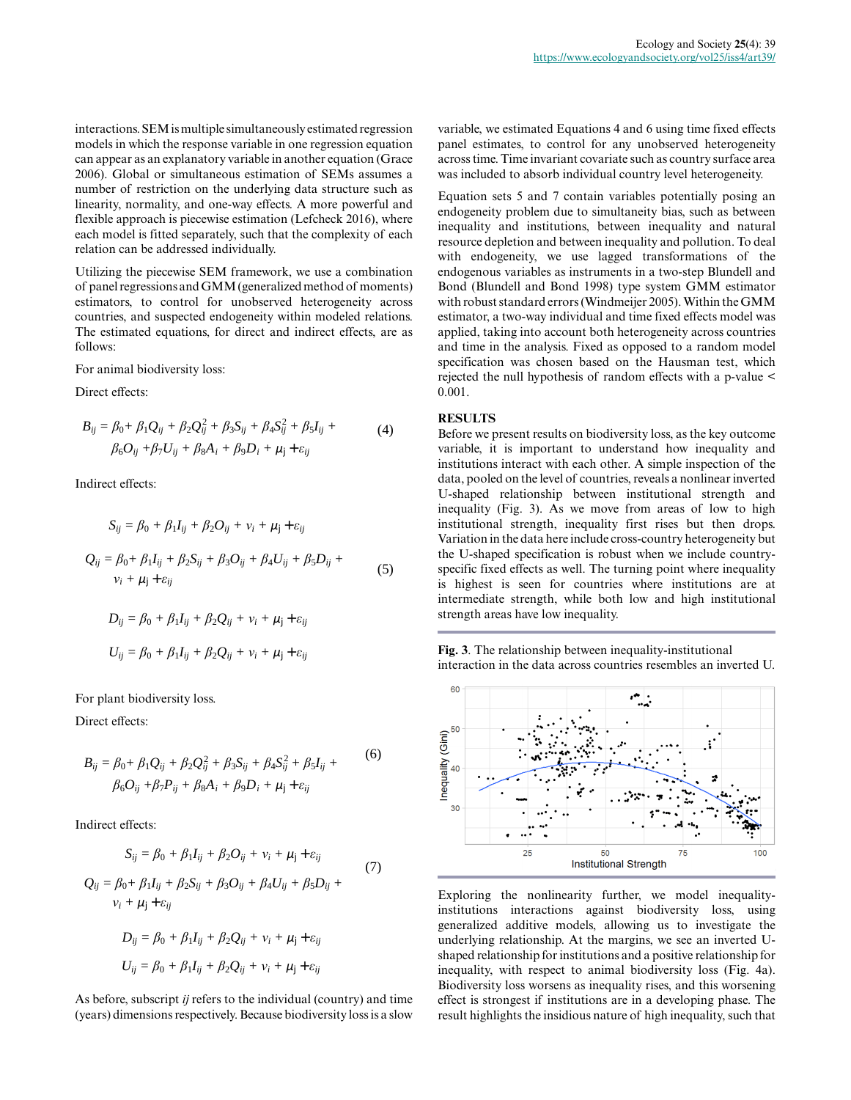interactions. SEM is multiple simultaneously estimated regression *f n n n n <i>n n n n n <i>n <i>n <i>n <i>n <i>n <i>n <i>n <i>n <i>n <i>n <i>n <i>n <i>n <i>a <i>a <i><i>a <i>a <i><i>a <i>a <i><i>a* can appear as an explanatory variable in another equation (Grace 2006). Global or simultaneous estimation of SEMs assumes a pumber of restriction on the underlying date structure such as 2006). Global or simultaneous estimation of SEMs assumes a<br>number of restriction on the underlying data structure such as<br>linearity, normality, and one-way effects. A more powerful and *h*<sup>*i*</sup> + *β*<sup>*m*</sup><sub>*m*</sub><sup>*n*</sup><sub>*<i><i>m***</sup><sub>***n***</sub><sup>***n***</sup><sub>***i***</sub><sup>***n***</sup><sub>***n***</sub><sup>***n***</sup><sub>***i***</sub><sup>***n***</sup><sub>***n***</sub><sup>***n***</sup><sub>***i***</sub><sup>***n***</sup><sub>***n***</sub><sup>***n***</sup><sub>***i***</sub><sup>***n***</sup><sub>***n***</sub><sup>***n***</sup><sub>***i***<sup>***n***</sup><sub>***n***</sub><sup>***n***</sup><sub>***i***<sup>***n***</sup><sub>***n***</sub><sup>***n***</sup><sub>***i***</sub><sup>***n***</sup><sub>***n***</sub><sup>***n***</sup><sub>***i***</sub><sup>***n***</sup><sub>***n***</sub><sup>***n***</sup><sub>***i***</sub><sup>***n***</sup><sub>***n***</sub></sub>**</sub></sub> flexible approach is piecewise estimation (Lefcheck 2016), where each model is fitted separately, such that the complexity of each relation can be addressed individually. *<sup>f</sup>n*(*X*)*<sup>=</sup>* Σ*<sup>β</sup>kndkn*(*X*) *K* EM is multiple simultaneously estimated regress<br>th the response variable in one regression equation<br>an explanatory variable in another equation (Grors imultaneous estimation of SEMs assume<br>triction on the underlying data s EM is multiple simultaneously estimated regress<br>th the response variable in one regression equation<br>an explanatory variable in another equation (G<sub>1</sub><br>or simultaneous estimation of SEMs assume<br>triction on the underlying dat *l=*1 *m=*1

Utilizing the piecewise SEM framework, we use a combination *k=*1 of panel regressions and GMM (generalized method of moments) *K f* of panel regressions and GMM (generalized method of moments) estimators, to control for unobserved heterogeneity across countries, and suspected endogeneity within modeled relations. The estimated equations, for direct and indirect effects, are as follows:

For animal biodiversity loss:

Direct effects:

$$
B_{ij} = \beta_0 + \beta_1 Q_{ij} + \beta_2 Q_{ij}^2 + \beta_3 S_{ij} + \beta_4 S_{ij}^2 + \beta_5 I_{ij} +
$$
  
\n
$$
\beta_6 O_{ij} + \beta_7 U_{ij} + \beta_8 A_i + \beta_9 D_i + \mu_j + \varepsilon_{ij}
$$
\n(4)

Indirect effects:

nodes in which the response variable in one regression equation appear as an explanatory variable in another equation (Gr.)06). Global or simultaneously variable in another equation (Gr.)06). Global or simultaneous estimation of SEMs assume number of restriction on the underlying data structure such nearly, normality, and one-way effects. A more powerful a visible approach is piecewise estimation (Lefcheck 2016), which model is fitted separately, such that the complexity of each model is fitted separately, such that the complexity of the relation can be addressed individually.

\nItilizing the piecewise SEM framework, we use a combinatorismators, to control for unobserved heterogeneity are the estimated equations, for direct and indirect effects, are allows:

\nor animal biodiversity loss:

\ndirect effects:

\n
$$
B_{ij} = \beta_0 + \beta_1 Q_{ij} + \beta_2 Q_{ij}^2 + \beta_3 S_{ij} + \beta_4 S_{ij}^2 + \beta_5 I_{ij} + \beta_6 O_{ij} + \beta_7 U_{ij} + \beta_8 A_i + \beta_9 D_i + \mu_j + \varepsilon_{ij}
$$

\nandirect effects:

\n
$$
S_{ij} = \beta_0 + \beta_1 I_{ij} + \beta_2 O_{ij} + \nu_i + \mu_j + \varepsilon_{ij}
$$

\nandirect effects:

\n
$$
S_{ij} = \beta_0 + \beta_1 I_{ij} + \beta_2 S_{ij} + \beta_3 O_{ij} + \beta_4 U_{ij} + \beta_5 D_{ij} + \nu_i + \mu_j + \varepsilon_{ij}
$$

\n
$$
Q_{ij} = \beta_0 + \beta_1 I_{ij} + \beta_2 S_{ij} + \beta_3 O_{ij} + \beta_4 U_{ij} + \beta_5 D_{ij} + \nu_i + \mu_j + \varepsilon_{ij}
$$

\n
$$
D_{ij} = \beta_0 + \beta_1 I_{ij} + \beta_2 Q_{ij} + \nu_i + \mu_j + \varepsilon_{ij}
$$

\nor short biodissivity loss.

*Uij = β*0 *+ β*1*Iij + β*2*Qij + ν<sup>i</sup>* For plant biodiversity loss.

Direct effects:

$$
B_{ij} = \beta_0 + \beta_1 Q_{ij} + \beta_2 Q_{ij}^2 + \beta_3 S_{ij} + \beta_4 S_{ij}^2 + \beta_5 I_{ij} +
$$
  
\n
$$
\beta_6 O_{ij} + \beta_7 P_{ij} + \beta_8 A_i + \beta_9 D_i + \mu_j + \varepsilon_{ij}
$$
\n(6)

Indirect effects:

$$
\beta_6 O_{ij} + \beta_7 P_{ij} + \beta_8 A_i + \beta_9 D_i + \mu_j + \varepsilon_{ij}
$$
  
Indirect effects:  

$$
S_{ij} = \beta_0 + \beta_1 I_{ij} + \beta_2 O_{ij} + v_i + \mu_j + \varepsilon_{ij}
$$

$$
Q_{ij} = \beta_0 + \beta_1 I_{ij} + \beta_2 S_{ij} + \beta_3 O_{ij} + \beta_4 U_{ij} + \beta_5 D_{ij} + v_i + \mu_j + \varepsilon_{ij}
$$

$$
D_{ij} = \beta_0 + \beta_1 I_{ij} + \beta_2 Q_{ij} + v_i + \mu_j + \varepsilon_{ij}
$$

$$
U_{ij} = \beta_0 + \beta_1 I_{ij} + \beta_2 Q_{ij} + v_i + \mu_j + \varepsilon_{ij}
$$

As before, subscript *ij* refers to the individual (country) and time (years) dimensions respectively. Because biodiversity loss is a slow variable, we estimated Equations 4 and 6 using time fixed effects panel estimates, to control for any unobserved heterogeneity across time. Time invariant covariate such as country surface area was included to absorb individual country level heterogeneity.

Equation sets 5 and 7 contain variables potentially posing an endogeneity problem due to simultaneity bias, such as between inequality and institutions, between inequality and natural resource depletion and between inequality and pollution. To deal with endogeneity, we use lagged transformations of the endogenous variables as instruments in a two-step Blundell and Bond (Blundell and Bond 1998) type system GMM estimator with robust standard errors (Windmeijer 2005). Within the GMM estimator, a two-way individual and time fixed effects model was applied, taking into account both heterogeneity across countries and time in the analysis. Fixed as opposed to a random model specification was chosen based on the Hausman test, which rejected the null hypothesis of random effects with a p-value < 0.001.

#### **RESULTS**

U-shaped relationship between institutional strength and<br> $\frac{1}{2}$ institutional strength, inequality first rises but then drops. variation in the data here include cross-country neterogeneity but<br>the U-shaped specification is robust when we include countryis highest is seen for countries where institutions are at *Uij = β*0 *+ β*1*Iij + β*2*Qij + ν<sup>i</sup> + μ<sup>j</sup>* strength areas have low inequality. *i*  $\frac{\partial}{\partial y} + \beta_2 Q_i^2 + \beta_3 S_{ij} + \beta_4 S_{ij}^2 + \beta_5 I_{ij} +$ <br>  $\frac{\partial}{\partial y} + \beta_8 A_i + \beta_9 D_i + \mu_j + \varepsilon_{ij}$ <br>  $\frac{\partial}{\partial z} + \beta_9 B_i + \mu_j + \varepsilon_{ij}$ <br>  $\frac{\partial}{\partial z} + \beta_9 B_i + \mu_j + \varepsilon_{ij}$ <br>  $\frac{\partial}{\partial z} + \beta_9 B_i + \mu_j + \varepsilon_{ij}$ <br>  $\frac{\partial}{\partial z} + \beta_9 B_i + \mu_j + \varepsilon_{ij}$ institutions interact with each other. A simple inspection of the *inequality* (Fig. 3). As we move from areas of low to high *u*<sub>1</sub>*i*</sup>  $\frac{1}{2}$  *b*<sub>*i*</sub> *+ <i>l*<sub>*i*</sub></sub> *b*<sub>*i*</sub><sup>*n*</sup> *b*<sub>*i*</sub><sup>*n*</sup> *i*<sup>*n*</sup> *i*<sup>*n*</sup> *i*<sup>*n*</sup> *i*<sup>*n*</sup> *i*<sup>*n*</sup> *i*<sup>*n*</sup> *i*<sup>*n*</sup> *i*<sup>*n*</sup> *i*<sup>*n*</sup> *i*<sup>*n*</sup> *i*<sup>*n*</sup> *i*<sup>*n*</sup> *i*<sup>*n*</sup> *i*<sup>*n*</sup> *i*<sup>*n*</sup> *i*<sup>*n*</sup> *i*<sup></sup> *i*  $\mu$  *i*  $\beta$  *k*<sub>*i*</sub>  $\beta$  *k*<sub>*i*</sub>  $\beta$  *k*<sub>*i*</sub>  $\beta$  *k*<sub>*i*</sub>  $\beta$  *k*<sub>*i*</sub>  $\beta$  *k*<sub>*i*</sub>  $\beta$  *k*<sub>*i*</sub> *k*<sub>*i*</sub> *k*<sub>*i*</sub> *k*<sub>*i*</sub> *k*<sub>*i*</sub> *k*<sub>*i*</sub> *k*<sub>*i*</sub> *k*<sub>*i*</sub> *k*<sub>*i*</sub> *k*<sub>*i*</sub> *k*<sub>*i*</sub> *k*<sub>*i*</sub> *k*<sub>*i*</sub> *k* Before we present results on biodiversity loss, as the key outcome variable, it is important to understand how inequality and data, pooled on the level of countries, reveals a nonlinear inverted Variation in the data here include cross-country heterogeneity but intermediate strength, while both low and high institutional

**Fig. 3**. The relationship between inequality-institutional interaction in the data across countries resembles an inverted U.



Exploring the nonlinearity further, we model inequalityinstitutions interactions against biodiversity loss, using generalized additive models, allowing us to investigate the underlying relationship. At the margins, we see an inverted Ushaped relationship for institutions and a positive relationship for inequality, with respect to animal biodiversity loss (Fig. 4a). Biodiversity loss worsens as inequality rises, and this worsening effect is strongest if institutions are in a developing phase. The result highlights the insidious nature of high inequality, such that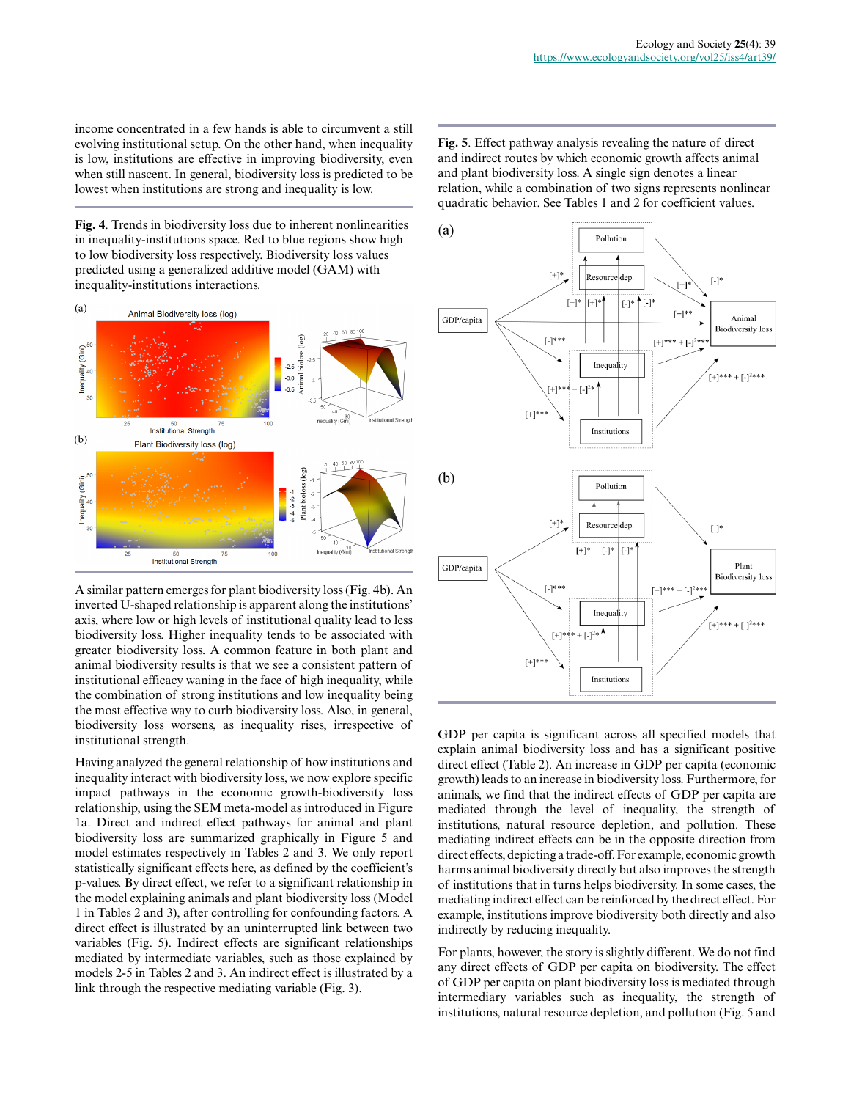income concentrated in a few hands is able to circumvent a still evolving institutional setup. On the other hand, when inequality is low, institutions are effective in improving biodiversity, even when still nascent. In general, biodiversity loss is predicted to be lowest when institutions are strong and inequality is low.

**Fig. 4**. Trends in biodiversity loss due to inherent nonlinearities in inequality-institutions space. Red to blue regions show high to low biodiversity loss respectively. Biodiversity loss values predicted using a generalized additive model (GAM) with inequality-institutions interactions.



A similar pattern emerges for plant biodiversity loss (Fig. 4b). An inverted U-shaped relationship is apparent along the institutions' axis, where low or high levels of institutional quality lead to less biodiversity loss. Higher inequality tends to be associated with greater biodiversity loss. A common feature in both plant and animal biodiversity results is that we see a consistent pattern of institutional efficacy waning in the face of high inequality, while the combination of strong institutions and low inequality being the most effective way to curb biodiversity loss. Also, in general, biodiversity loss worsens, as inequality rises, irrespective of institutional strength.

Having analyzed the general relationship of how institutions and inequality interact with biodiversity loss, we now explore specific impact pathways in the economic growth-biodiversity loss relationship, using the SEM meta-model as introduced in Figure 1a. Direct and indirect effect pathways for animal and plant biodiversity loss are summarized graphically in Figure 5 and model estimates respectively in Tables 2 and 3. We only report statistically significant effects here, as defined by the coefficient's p-values. By direct effect, we refer to a significant relationship in the model explaining animals and plant biodiversity loss (Model 1 in Tables 2 and 3), after controlling for confounding factors. A direct effect is illustrated by an uninterrupted link between two variables (Fig. 5). Indirect effects are significant relationships mediated by intermediate variables, such as those explained by models 2-5 in Tables 2 and 3. An indirect effect is illustrated by a link through the respective mediating variable (Fig. 3).

**Fig. 5**. Effect pathway analysis revealing the nature of direct and indirect routes by which economic growth affects animal and plant biodiversity loss. A single sign denotes a linear relation, while a combination of two signs represents nonlinear quadratic behavior. See Tables 1 and 2 for coefficient values.



GDP per capita is significant across all specified models that explain animal biodiversity loss and has a significant positive direct effect (Table 2). An increase in GDP per capita (economic growth) leads to an increase in biodiversity loss. Furthermore, for animals, we find that the indirect effects of GDP per capita are mediated through the level of inequality, the strength of institutions, natural resource depletion, and pollution. These mediating indirect effects can be in the opposite direction from direct effects, depicting a trade-off. For example, economic growth harms animal biodiversity directly but also improves the strength of institutions that in turns helps biodiversity. In some cases, the mediating indirect effect can be reinforced by the direct effect. For example, institutions improve biodiversity both directly and also indirectly by reducing inequality.

For plants, however, the story is slightly different. We do not find any direct effects of GDP per capita on biodiversity. The effect of GDP per capita on plant biodiversity loss is mediated through intermediary variables such as inequality, the strength of institutions, natural resource depletion, and pollution (Fig. 5 and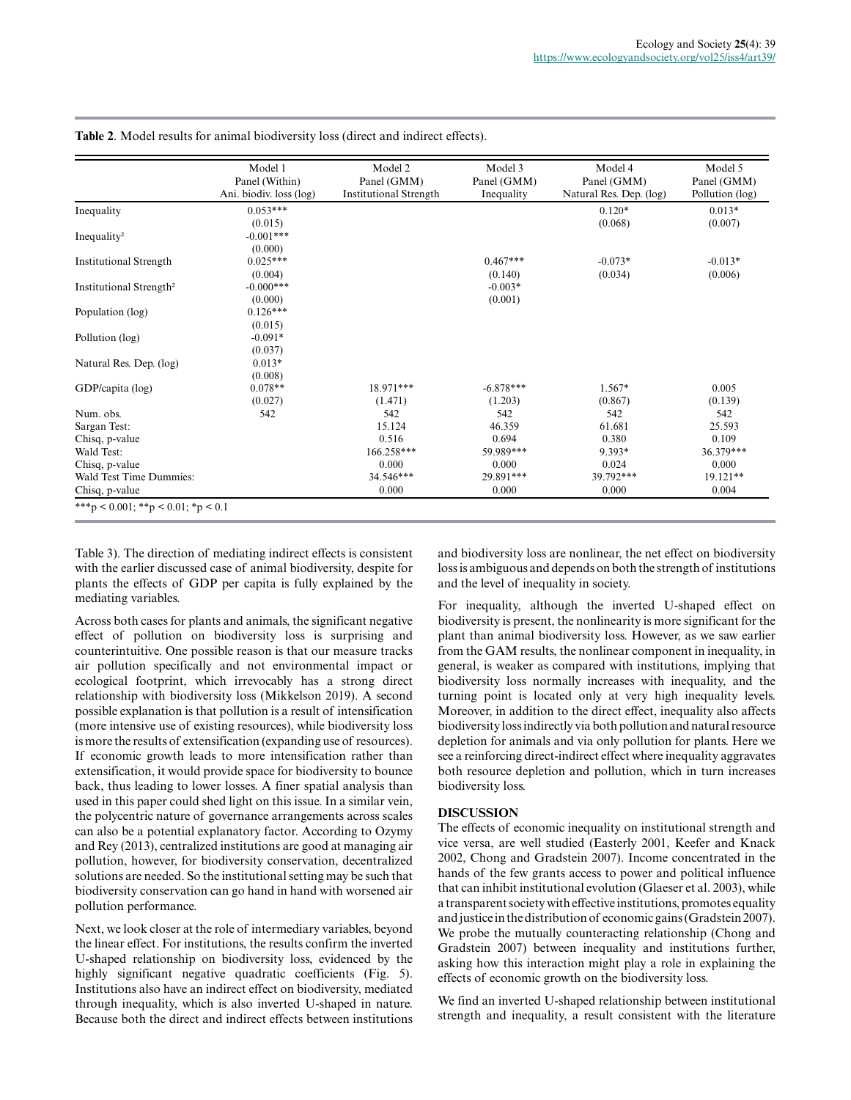|                                     | Model 1<br>Panel (Within)<br>Ani. biodiv. loss (log) | Model 2<br>Panel (GMM)<br><b>Institutional Strength</b> | Model 3<br>Panel (GMM)<br>Inequality | Model 4<br>Panel (GMM)<br>Natural Res. Dep. (log) | Model 5<br>Panel (GMM)<br>Pollution (log) |
|-------------------------------------|------------------------------------------------------|---------------------------------------------------------|--------------------------------------|---------------------------------------------------|-------------------------------------------|
| Inequality                          | $0.053***$                                           |                                                         |                                      | $0.120*$                                          | $0.013*$                                  |
|                                     | (0.015)                                              |                                                         |                                      | (0.068)                                           | (0.007)                                   |
| Inequality <sup>2</sup>             | $-0.001***$                                          |                                                         |                                      |                                                   |                                           |
|                                     | (0.000)                                              |                                                         |                                      |                                                   |                                           |
| <b>Institutional Strength</b>       | $0.025***$                                           |                                                         | $0.467***$                           | $-0.073*$                                         | $-0.013*$                                 |
|                                     | (0.004)                                              |                                                         | (0.140)                              | (0.034)                                           | (0.006)                                   |
| Institutional Strength <sup>2</sup> | $-0.000***$                                          |                                                         | $-0.003*$                            |                                                   |                                           |
|                                     | (0.000)                                              |                                                         | (0.001)                              |                                                   |                                           |
| Population (log)                    | $0.126***$                                           |                                                         |                                      |                                                   |                                           |
|                                     | (0.015)                                              |                                                         |                                      |                                                   |                                           |
| Pollution (log)                     | $-0.091*$                                            |                                                         |                                      |                                                   |                                           |
|                                     | (0.037)                                              |                                                         |                                      |                                                   |                                           |
| Natural Res. Dep. (log)             | $0.013*$                                             |                                                         |                                      |                                                   |                                           |
|                                     | (0.008)                                              |                                                         |                                      |                                                   |                                           |
| GDP/capita (log)                    | $0.078**$                                            | 18.971***                                               | $-6.878***$                          | 1.567*                                            | 0.005                                     |
|                                     | (0.027)                                              | (1.471)                                                 | (1.203)                              | (0.867)                                           | (0.139)                                   |
| Num. obs.                           | 542                                                  | 542                                                     | 542                                  | 542                                               | 542                                       |
| Sargan Test:                        |                                                      | 15.124                                                  | 46.359                               | 61.681                                            | 25.593                                    |
| Chisq, p-value                      |                                                      | 0.516                                                   | 0.694                                | 0.380                                             | 0.109                                     |
| Wald Test:                          |                                                      | 166.258***                                              | 59.989***                            | 9.393*                                            | 36.379***                                 |
| Chisq, p-value                      |                                                      | 0.000                                                   | 0.000                                | 0.024                                             | 0.000                                     |
| Wald Test Time Dummies:             |                                                      | 34.546***                                               | 29.891***                            | 39.792***                                         | 19.121**                                  |
| Chisq, p-value                      |                                                      | 0.000                                                   | 0.000                                | 0.000                                             | 0.004                                     |

**Table 2**. Model results for animal biodiversity loss (direct and indirect effects).

Table 3). The direction of mediating indirect effects is consistent with the earlier discussed case of animal biodiversity, despite for plants the effects of GDP per capita is fully explained by the mediating variables.

Across both cases for plants and animals, the significant negative effect of pollution on biodiversity loss is surprising and counterintuitive. One possible reason is that our measure tracks air pollution specifically and not environmental impact or ecological footprint, which irrevocably has a strong direct relationship with biodiversity loss (Mikkelson 2019). A second possible explanation is that pollution is a result of intensification (more intensive use of existing resources), while biodiversity loss is more the results of extensification (expanding use of resources). If economic growth leads to more intensification rather than extensification, it would provide space for biodiversity to bounce back, thus leading to lower losses. A finer spatial analysis than used in this paper could shed light on this issue. In a similar vein, the polycentric nature of governance arrangements across scales can also be a potential explanatory factor. According to Ozymy and Rey (2013), centralized institutions are good at managing air pollution, however, for biodiversity conservation, decentralized solutions are needed. So the institutional setting may be such that biodiversity conservation can go hand in hand with worsened air pollution performance.

Next, we look closer at the role of intermediary variables, beyond the linear effect. For institutions, the results confirm the inverted U-shaped relationship on biodiversity loss, evidenced by the highly significant negative quadratic coefficients (Fig. 5). Institutions also have an indirect effect on biodiversity, mediated through inequality, which is also inverted U-shaped in nature. Because both the direct and indirect effects between institutions

and biodiversity loss are nonlinear, the net effect on biodiversity loss is ambiguous and depends on both the strength of institutions and the level of inequality in society.

For inequality, although the inverted U-shaped effect on biodiversity is present, the nonlinearity is more significant for the plant than animal biodiversity loss. However, as we saw earlier from the GAM results, the nonlinear component in inequality, in general, is weaker as compared with institutions, implying that biodiversity loss normally increases with inequality, and the turning point is located only at very high inequality levels. Moreover, in addition to the direct effect, inequality also affects biodiversity loss indirectly via both pollution and natural resource depletion for animals and via only pollution for plants. Here we see a reinforcing direct-indirect effect where inequality aggravates both resource depletion and pollution, which in turn increases biodiversity loss.

## **DISCUSSION**

The effects of economic inequality on institutional strength and vice versa, are well studied (Easterly 2001, Keefer and Knack 2002, Chong and Gradstein 2007). Income concentrated in the hands of the few grants access to power and political influence that can inhibit institutional evolution (Glaeser et al. 2003), while a transparent society with effective institutions, promotes equality and justice in the distribution of economic gains (Gradstein 2007). We probe the mutually counteracting relationship (Chong and Gradstein 2007) between inequality and institutions further, asking how this interaction might play a role in explaining the effects of economic growth on the biodiversity loss.

We find an inverted U-shaped relationship between institutional strength and inequality, a result consistent with the literature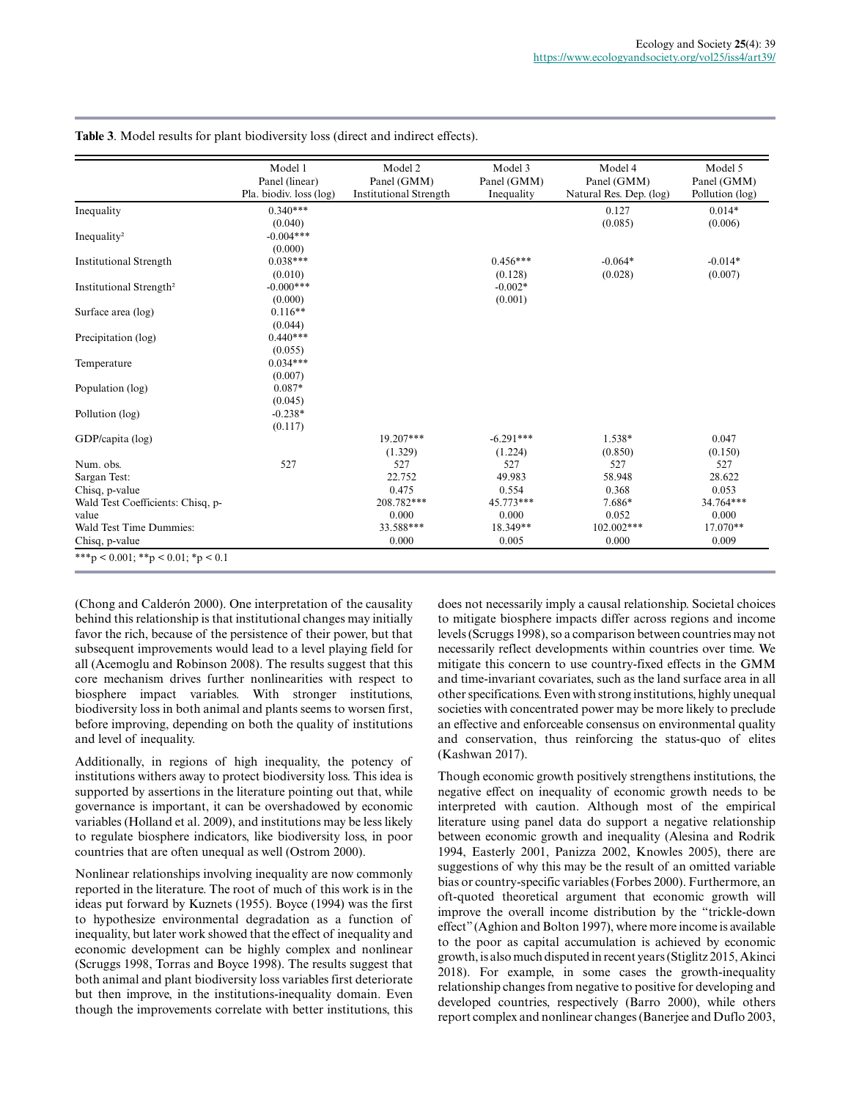|                                     | Model 1<br>Panel (linear)<br>Pla. biodiv. loss (log) | Model 2<br>Panel (GMM)<br><b>Institutional Strength</b> | Model 3<br>Panel (GMM)<br>Inequality | Model 4<br>Panel (GMM)<br>Natural Res. Dep. (log) | Model 5<br>Panel (GMM)<br>Pollution (log) |
|-------------------------------------|------------------------------------------------------|---------------------------------------------------------|--------------------------------------|---------------------------------------------------|-------------------------------------------|
| Inequality                          | $0.340***$                                           |                                                         |                                      | 0.127                                             | $0.014*$                                  |
|                                     | (0.040)                                              |                                                         |                                      | (0.085)                                           | (0.006)                                   |
| Inequality <sup>2</sup>             | $-0.004***$                                          |                                                         |                                      |                                                   |                                           |
|                                     | (0.000)                                              |                                                         |                                      |                                                   |                                           |
| <b>Institutional Strength</b>       | $0.038***$                                           |                                                         | $0.456***$                           | $-0.064*$                                         | $-0.014*$                                 |
|                                     | (0.010)                                              |                                                         | (0.128)                              | (0.028)                                           | (0.007)                                   |
| Institutional Strength <sup>2</sup> | $-0.000***$                                          |                                                         | $-0.002*$                            |                                                   |                                           |
|                                     | (0.000)                                              |                                                         | (0.001)                              |                                                   |                                           |
| Surface area (log)                  | $0.116**$                                            |                                                         |                                      |                                                   |                                           |
|                                     | (0.044)                                              |                                                         |                                      |                                                   |                                           |
| Precipitation (log)                 | $0.440***$                                           |                                                         |                                      |                                                   |                                           |
|                                     | (0.055)                                              |                                                         |                                      |                                                   |                                           |
| Temperature                         | $0.034***$                                           |                                                         |                                      |                                                   |                                           |
|                                     | (0.007)                                              |                                                         |                                      |                                                   |                                           |
| Population (log)                    | $0.087*$                                             |                                                         |                                      |                                                   |                                           |
|                                     | (0.045)                                              |                                                         |                                      |                                                   |                                           |
| Pollution (log)                     | $-0.238*$                                            |                                                         |                                      |                                                   |                                           |
|                                     | (0.117)                                              |                                                         |                                      |                                                   |                                           |
| GDP/capita (log)                    |                                                      | 19.207***                                               | $-6.291***$                          | 1.538*                                            | 0.047                                     |
|                                     |                                                      | (1.329)                                                 | (1.224)                              | (0.850)                                           | (0.150)                                   |
| Num. obs.                           | 527                                                  | 527                                                     | 527                                  | 527                                               | 527                                       |
| Sargan Test:                        |                                                      | 22.752                                                  | 49.983                               | 58.948                                            | 28.622                                    |
| Chisq, p-value                      |                                                      | 0.475                                                   | 0.554                                | 0.368                                             | 0.053                                     |
| Wald Test Coefficients: Chisq, p-   |                                                      | 208.782***                                              | 45.773***                            | 7.686*                                            | 34.764***                                 |
| value                               |                                                      | 0.000                                                   | 0.000                                | 0.052                                             | 0.000                                     |
| Wald Test Time Dummies:             |                                                      | 33.588***                                               | 18.349**                             | 102.002***                                        | 17.070**                                  |
| Chisq, p-value                      |                                                      | 0.000                                                   | 0.005                                | 0.000                                             | 0.009                                     |

**Table 3**. Model results for plant biodiversity loss (direct and indirect effects).

(Chong and Calderón 2000). One interpretation of the causality behind this relationship is that institutional changes may initially favor the rich, because of the persistence of their power, but that subsequent improvements would lead to a level playing field for all (Acemoglu and Robinson 2008). The results suggest that this core mechanism drives further nonlinearities with respect to biosphere impact variables. With stronger institutions, biodiversity loss in both animal and plants seems to worsen first, before improving, depending on both the quality of institutions and level of inequality.

Additionally, in regions of high inequality, the potency of institutions withers away to protect biodiversity loss. This idea is supported by assertions in the literature pointing out that, while governance is important, it can be overshadowed by economic variables (Holland et al. 2009), and institutions may be less likely to regulate biosphere indicators, like biodiversity loss, in poor countries that are often unequal as well (Ostrom 2000).

Nonlinear relationships involving inequality are now commonly reported in the literature. The root of much of this work is in the ideas put forward by Kuznets (1955). Boyce (1994) was the first to hypothesize environmental degradation as a function of inequality, but later work showed that the effect of inequality and economic development can be highly complex and nonlinear (Scruggs 1998, Torras and Boyce 1998). The results suggest that both animal and plant biodiversity loss variables first deteriorate but then improve, in the institutions-inequality domain. Even though the improvements correlate with better institutions, this

does not necessarily imply a causal relationship. Societal choices to mitigate biosphere impacts differ across regions and income levels (Scruggs 1998), so a comparison between countries may not necessarily reflect developments within countries over time. We mitigate this concern to use country-fixed effects in the GMM and time-invariant covariates, such as the land surface area in all other specifications. Even with strong institutions, highly unequal societies with concentrated power may be more likely to preclude an effective and enforceable consensus on environmental quality and conservation, thus reinforcing the status-quo of elites (Kashwan 2017).

Though economic growth positively strengthens institutions, the negative effect on inequality of economic growth needs to be interpreted with caution. Although most of the empirical literature using panel data do support a negative relationship between economic growth and inequality (Alesina and Rodrik 1994, Easterly 2001, Panizza 2002, Knowles 2005), there are suggestions of why this may be the result of an omitted variable bias or country-specific variables (Forbes 2000). Furthermore, an oft-quoted theoretical argument that economic growth will improve the overall income distribution by the "trickle-down effect" (Aghion and Bolton 1997), where more income is available to the poor as capital accumulation is achieved by economic growth, is also much disputed in recent years (Stiglitz 2015, Akinci 2018). For example, in some cases the growth-inequality relationship changes from negative to positive for developing and developed countries, respectively (Barro 2000), while others report complex and nonlinear changes (Banerjee and Duflo 2003,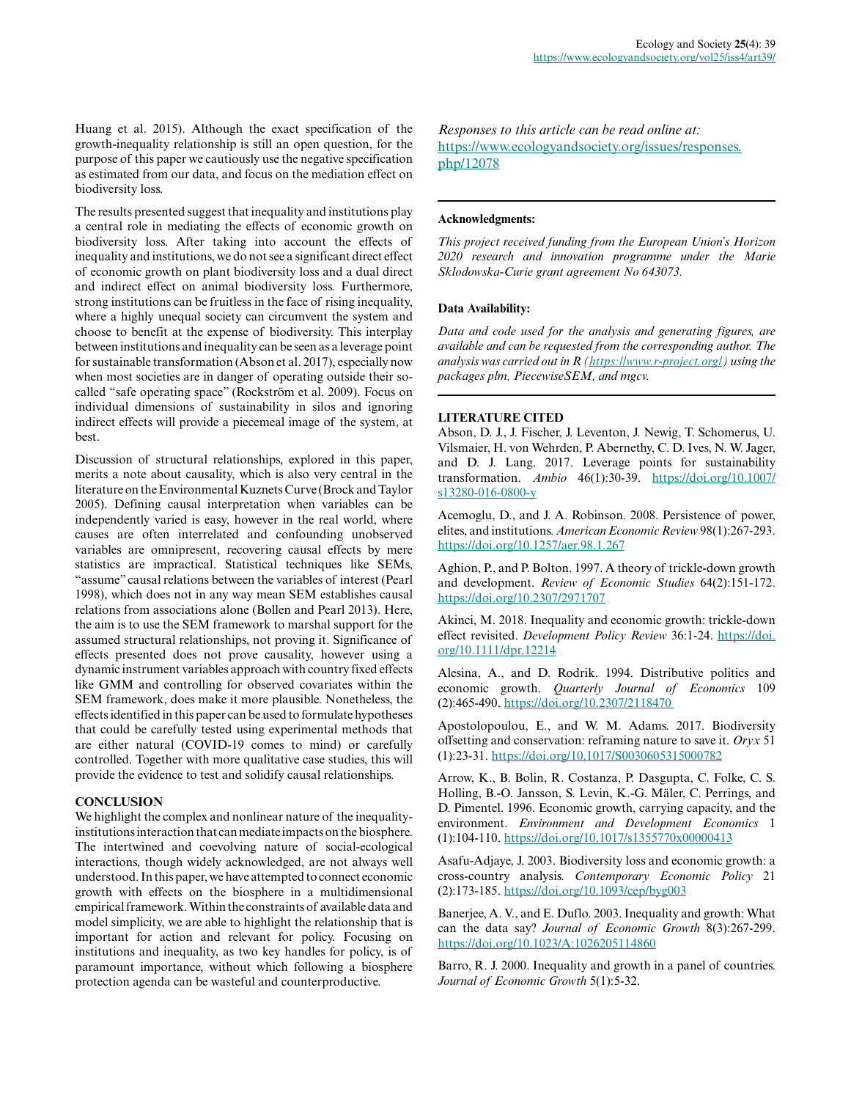Huang et al. 2015). Although the exact specification of the growth-inequality relationship is still an open question, for the purpose of this paper we cautiously use the negative specification as estimated from our data, and focus on the mediation effect on biodiversity loss.

The results presented suggest that inequality and institutions play a central role in mediating the effects of economic growth on biodiversity loss. After taking into account the effects of inequality and institutions, we do not see a significant direct effect of economic growth on plant biodiversity loss and a dual direct and indirect effect on animal biodiversity loss. Furthermore, strong institutions can be fruitless in the face of rising inequality, where a highly unequal society can circumvent the system and choose to benefit at the expense of biodiversity. This interplay between institutions and inequality can be seen as a leverage point for sustainable transformation (Abson et al. 2017), especially now when most societies are in danger of operating outside their socalled "safe operating space" (Rockström et al. 2009). Focus on individual dimensions of sustainability in silos and ignoring indirect effects will provide a piecemeal image of the system, at best.

Discussion of structural relationships, explored in this paper, merits a note about causality, which is also very central in the literature on the Environmental Kuznets Curve (Brock and Taylor 2005). Defining causal interpretation when variables can be independently varied is easy, however in the real world, where causes are often interrelated and confounding unobserved variables are omnipresent, recovering causal effects by mere statistics are impractical. Statistical techniques like SEMs, "assume" causal relations between the variables of interest (Pearl 1998), which does not in any way mean SEM establishes causal relations from associations alone (Bollen and Pearl 2013). Here, the aim is to use the SEM framework to marshal support for the assumed structural relationships, not proving it. Significance of effects presented does not prove causality, however using a dynamic instrument variables approach with country fixed effects like GMM and controlling for observed covariates within the SEM framework, does make it more plausible. Nonetheless, the effects identified in this paper can be used to formulate hypotheses that could be carefully tested using experimental methods that are either natural (COVID-19 comes to mind) or carefully controlled. Together with more qualitative case studies, this will provide the evidence to test and solidify causal relationships.

## **CONCLUSION**

We highlight the complex and nonlinear nature of the inequalityinstitutions interaction that can mediate impacts on the biosphere. The intertwined and coevolving nature of social-ecological interactions, though widely acknowledged, are not always well understood. In this paper, we have attempted to connect economic growth with effects on the biosphere in a multidimensional empirical framework. Within the constraints of available data and model simplicity, we are able to highlight the relationship that is important for action and relevant for policy. Focusing on institutions and inequality, as two key handles for policy, is of paramount importance, without which following a biosphere protection agenda can be wasteful and counterproductive.

*Responses to this article can be read online at:* [https://www.ecologyandsociety.org/issues/responses.](https://www.ecologyandsociety.org/issues/responses.php/12078) [php/12078](https://www.ecologyandsociety.org/issues/responses.php/12078)

#### **Acknowledgments:**

*This project received funding from the European Union's Horizon 2020 research and innovation programme under the Marie Sklodowska-Curie grant agreement No 643073.*

## **Data Availability:**

*Data and code used for the analysis and generating figures, are available and can be requested from the corresponding author. The analysis was carried out in R [\(https://www.r-project.org/](https://www.r-project.org/)) using the packages plm, PiecewiseSEM, and mgcv.*

## **LITERATURE CITED**

Abson, D. J., J. Fischer, J. Leventon, J. Newig, T. Schomerus, U. Vilsmaier, H. von Wehrden, P. Abernethy, C. D. Ives, N. W. Jager, and D. J. Lang. 2017. Leverage points for sustainability transformation. *Ambio* 46(1):30-39. [https://doi.org/10.1007/](https://doi.org/10.1007/s13280-016-0800-y) [s13280-016-0800-y](https://doi.org/10.1007/s13280-016-0800-y) 

Acemoglu, D., and J. A. Robinson. 2008. Persistence of power, elites, and institutions. *American Economic Review* 98(1):267-293. <https://doi.org/10.1257/aer.98.1.267>

Aghion, P., and P. Bolton. 1997. A theory of trickle-down growth and development. *Review of Economic Studies* 64(2):151-172. <https://doi.org/10.2307/2971707>

Akinci, M. 2018. Inequality and economic growth: trickle-down effect revisited. *Development Policy Review* 36:1-24. [https://doi.](https://doi.org/10.1111/dpr.12214) [org/10.1111/dpr.12214](https://doi.org/10.1111/dpr.12214) 

Alesina, A., and D. Rodrik. 1994. Distributive politics and economic growth. *Quarterly Journal of Economics* 109 (2):465-490. [https://doi.org/10.2307/2118470](https://doi.org/10.2307/2118470 ) 

Apostolopoulou, E., and W. M. Adams. 2017. Biodiversity offsetting and conservation: reframing nature to save it. *Oryx* 51 (1):23-31. <https://doi.org/10.1017/S0030605315000782>

Arrow, K., B. Bolin, R. Costanza, P. Dasgupta, C. Folke, C. S. Holling, B.-O. Jansson, S. Levin, K.-G. Mäler, C. Perrings, and D. Pimentel. 1996. Economic growth, carrying capacity, and the environment. *Environment and Development Economics* 1 (1):104-110. <https://doi.org/10.1017/s1355770x00000413>

Asafu-Adjaye, J. 2003. Biodiversity loss and economic growth: a cross-country analysis. *Contemporary Economic Policy* 21 (2):173-185. <https://doi.org/10.1093/cep/byg003>

Banerjee, A. V., and E. Duflo. 2003. Inequality and growth: What can the data say? *Journal of Economic Growth* 8(3):267-299. <https://doi.org/10.1023/A:1026205114860>

Barro, R. J. 2000. Inequality and growth in a panel of countries. *Journal of Economic Growth* 5(1):5-32.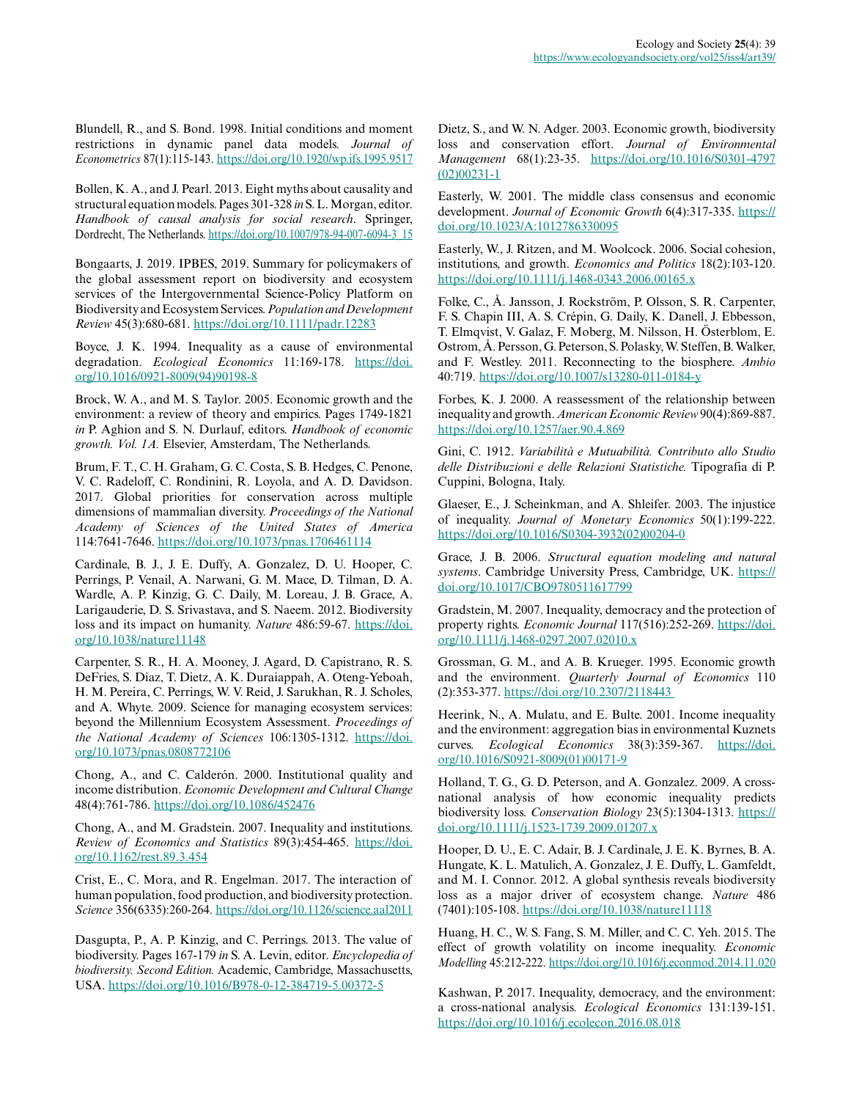Blundell, R., and S. Bond. 1998. Initial conditions and moment restrictions in dynamic panel data models. *Journal of Econometrics* 87(1):115-143. <https://doi.org/10.1920/wp.ifs.1995.9517>

Bollen, K. A., and J. Pearl. 2013. Eight myths about causality and structural equation models. Pages 301-328 *in* S. L. Morgan, editor. *Handbook of causal analysis for social research*. Springer, Dordrecht, The Netherlands. [https://doi.org/10.1007/978-94-007-6094-3\\_15](https://doi.org/10.1007/978-94-007-6094-3_15)

Bongaarts, J. 2019. IPBES, 2019. Summary for policymakers of the global assessment report on biodiversity and ecosystem services of the Intergovernmental Science-Policy Platform on Biodiversity and Ecosystem Services. *Population and Development Review* 45(3):680-681.<https://doi.org/10.1111/padr.12283>

Boyce, J. K. 1994. Inequality as a cause of environmental degradation. *Ecological Economics* 11:169-178. [https://doi.](https://doi.org/10.1016/0921-8009(94)90198-8) [org/10.1016/0921-8009\(94\)90198-8](https://doi.org/10.1016/0921-8009(94)90198-8)

Brock, W. A., and M. S. Taylor. 2005. Economic growth and the environment: a review of theory and empirics. Pages 1749-1821 *in* P. Aghion and S. N. Durlauf, editors. *Handbook of economic growth. Vol. 1A.* Elsevier, Amsterdam, The Netherlands.

Brum, F. T., C. H. Graham, G. C. Costa, S. B. Hedges, C. Penone, V. C. Radeloff, C. Rondinini, R. Loyola, and A. D. Davidson. 2017. Global priorities for conservation across multiple dimensions of mammalian diversity. *Proceedings of the National Academy of Sciences of the United States of America* 114:7641-7646. <https://doi.org/10.1073/pnas.1706461114>

Cardinale, B. J., J. E. Duffy, A. Gonzalez, D. U. Hooper, C. Perrings, P. Venail, A. Narwani, G. M. Mace, D. Tilman, D. A. Wardle, A. P. Kinzig, G. C. Daily, M. Loreau, J. B. Grace, A. Larigauderie, D. S. Srivastava, and S. Naeem. 2012. Biodiversity loss and its impact on humanity. *Nature* 486:59-67. [https://doi.](https://doi.org/10.1038/nature11148) [org/10.1038/nature11148](https://doi.org/10.1038/nature11148)

Carpenter, S. R., H. A. Mooney, J. Agard, D. Capistrano, R. S. DeFries, S. Diaz, T. Dietz, A. K. Duraiappah, A. Oteng-Yeboah, H. M. Pereira, C. Perrings, W. V. Reid, J. Sarukhan, R. J. Scholes, and A. Whyte. 2009. Science for managing ecosystem services: beyond the Millennium Ecosystem Assessment. *Proceedings of the National Academy of Sciences* 106:1305-1312. [https://doi.](https://doi.org/10.1073/pnas.0808772106) [org/10.1073/pnas.0808772106](https://doi.org/10.1073/pnas.0808772106) 

Chong, A., and C. Calderón. 2000. Institutional quality and income distribution. *Economic Development and Cultural Change* 48(4):761-786. <https://doi.org/10.1086/452476>

Chong, A., and M. Gradstein. 2007. Inequality and institutions. *Review of Economics and Statistics* 89(3):454-465. [https://doi.](https://doi.org/10.1162/rest.89.3.454) [org/10.1162/rest.89.3.454](https://doi.org/10.1162/rest.89.3.454)

Crist, E., C. Mora, and R. Engelman. 2017. The interaction of human population, food production, and biodiversity protection. *Science* 356(6335):260-264.<https://doi.org/10.1126/science.aal2011>

Dasgupta, P., A. P. Kinzig, and C. Perrings. 2013. The value of biodiversity. Pages 167-179 *in* S. A. Levin, editor. *Encyclopedia of biodiversity. Second Edition.* Academic, Cambridge, Massachusetts, USA.<https://doi.org/10.1016/B978-0-12-384719-5.00372-5>

Dietz, S., and W. N. Adger. 2003. Economic growth, biodiversity loss and conservation effort. *Journal of Environmental Management* 68(1):23-35. [https://doi.org/10.1016/S0301-4797](https://doi.org/10.1016/S0301-4797(02)00231-1) [\(02\)00231-1](https://doi.org/10.1016/S0301-4797(02)00231-1) 

Easterly, W. 2001. The middle class consensus and economic development. *Journal of Economic Growth* 6(4):317-335. [https://](https://doi.org/10.1023/A:1012786330095) [doi.org/10.1023/A:1012786330095](https://doi.org/10.1023/A:1012786330095) 

Easterly, W., J. Ritzen, and M. Woolcock. 2006. Social cohesion, institutions, and growth. *Economics and Politics* 18(2):103-120. <https://doi.org/10.1111/j.1468-0343.2006.00165.x>

Folke, C., Å. Jansson, J. Rockström, P. Olsson, S. R. Carpenter, F. S. Chapin III, A. S. Crépin, G. Daily, K. Danell, J. Ebbesson, T. Elmqvist, V. Galaz, F. Moberg, M. Nilsson, H. Österblom, E. Ostrom, Å. Persson, G. Peterson, S. Polasky, W. Steffen, B. Walker, and F. Westley. 2011. Reconnecting to the biosphere. *Ambio* 40:719. <https://doi.org/10.1007/s13280-011-0184-y>

Forbes, K. J. 2000. A reassessment of the relationship between inequality and growth. *American Economic Review* 90(4):869-887. <https://doi.org/10.1257/aer.90.4.869>

Gini, C. 1912. *Variabilità e Mutuabilità. Contributo allo Studio delle Distribuzioni e delle Relazioni Statistiche.* Tipografia di P. Cuppini, Bologna, Italy.

Glaeser, E., J. Scheinkman, and A. Shleifer. 2003. The injustice of inequality. *Journal of Monetary Economics* 50(1):199-222. [https://doi.org/10.1016/S0304-3932\(02\)00204-0](https://doi.org/10.1016/S0304-3932(02)00204-0) 

Grace, J. B. 2006. *Structural equation modeling and natural systems*. Cambridge University Press, Cambridge, UK. [https://](https://doi.org/10.1017/CBO9780511617799) [doi.org/10.1017/CBO9780511617799](https://doi.org/10.1017/CBO9780511617799) 

Gradstein, M. 2007. Inequality, democracy and the protection of property rights. *Economic Journal* 117(516):252-269. [https://doi.](https://doi.org/10.1111/j.1468-0297.2007.02010.x) [org/10.1111/j.1468-0297.2007.02010.x](https://doi.org/10.1111/j.1468-0297.2007.02010.x)

Grossman, G. M., and A. B. Krueger. 1995. Economic growth and the environment. *Quarterly Journal of Economics* 110 (2):353-377. [https://doi.org/10.2307/2118443](https://doi.org/10.2307/2118443 ) 

Heerink, N., A. Mulatu, and E. Bulte. 2001. Income inequality and the environment: aggregation bias in environmental Kuznets curves. *Ecological Economics* 38(3):359-367. [https://doi.](https://doi.org/10.1016/S0921-8009(01)00171-9) [org/10.1016/S0921-8009\(01\)00171-9](https://doi.org/10.1016/S0921-8009(01)00171-9)

Holland, T. G., G. D. Peterson, and A. Gonzalez. 2009. A crossnational analysis of how economic inequality predicts biodiversity loss. *Conservation Biology* 23(5):1304-1313. [https://](https://doi.org/10.1111/j.1523-1739.2009.01207.x) [doi.org/10.1111/j.1523-1739.2009.01207.x](https://doi.org/10.1111/j.1523-1739.2009.01207.x)

Hooper, D. U., E. C. Adair, B. J. Cardinale, J. E. K. Byrnes, B. A. Hungate, K. L. Matulich, A. Gonzalez, J. E. Duffy, L. Gamfeldt, and M. I. Connor. 2012. A global synthesis reveals biodiversity loss as a major driver of ecosystem change. *Nature* 486 (7401):105-108.<https://doi.org/10.1038/nature11118>

Huang, H. C., W. S. Fang, S. M. Miller, and C. C. Yeh. 2015. The effect of growth volatility on income inequality. *Economic Modelling* 45:212-222. <https://doi.org/10.1016/j.econmod.2014.11.020>

Kashwan, P. 2017. Inequality, democracy, and the environment: a cross-national analysis. *Ecological Economics* 131:139-151. <https://doi.org/10.1016/j.ecolecon.2016.08.018>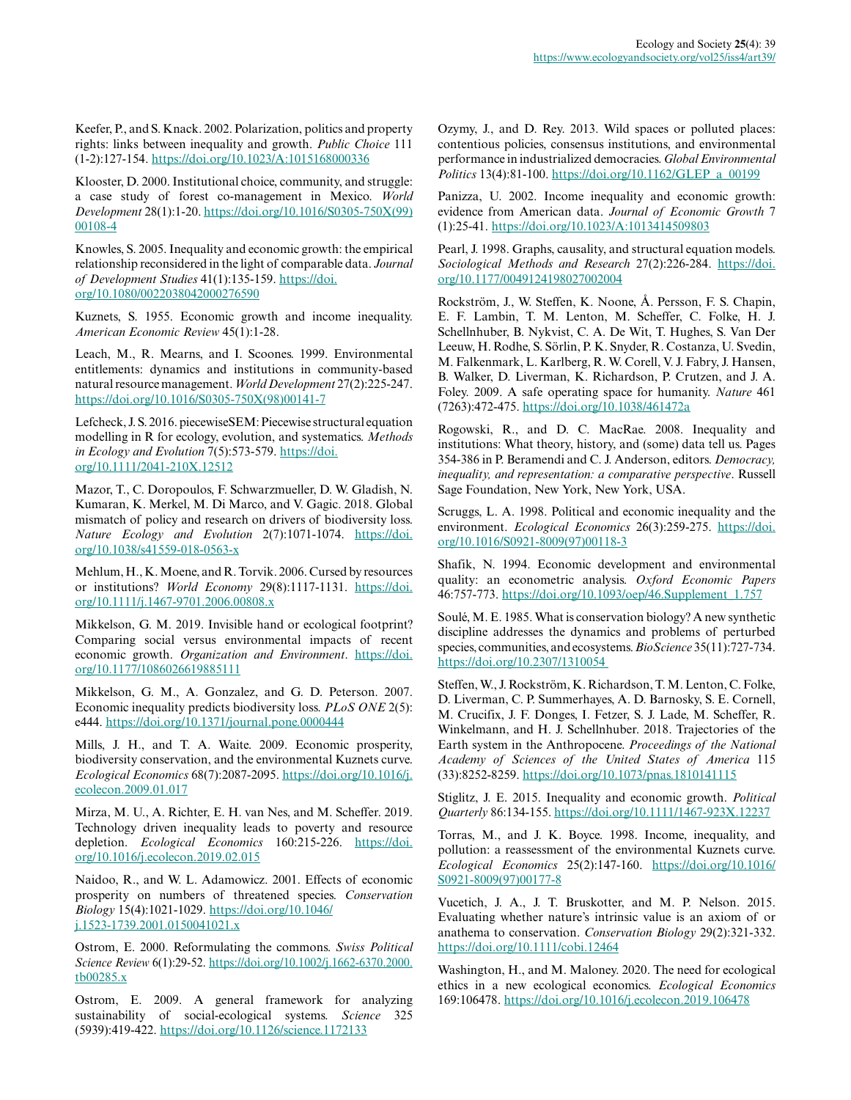Keefer, P., and S. Knack. 2002. Polarization, politics and property rights: links between inequality and growth. *Public Choice* 111 (1-2):127-154.<https://doi.org/10.1023/A:1015168000336>

Klooster, D. 2000. Institutional choice, community, and struggle: a case study of forest co-management in Mexico. *World Development* 28(1):1-20. [https://doi.org/10.1016/S0305-750X\(99\)](https://doi.org/10.1016/S0305-750X(99)00108-4) [00108-4](https://doi.org/10.1016/S0305-750X(99)00108-4) 

Knowles, S. 2005. Inequality and economic growth: the empirical relationship reconsidered in the light of comparable data. *Journal of Development Studies* 41(1):135-159. [https://doi.](https://doi.org/10.1080/0022038042000276590) [org/10.1080/0022038042000276590](https://doi.org/10.1080/0022038042000276590) 

Kuznets, S. 1955. Economic growth and income inequality. *American Economic Review* 45(1):1-28.

Leach, M., R. Mearns, and I. Scoones. 1999. Environmental entitlements: dynamics and institutions in community-based natural resource management. *World Development* 27(2):225-247. [https://doi.org/10.1016/S0305-750X\(98\)00141-7](https://doi.org/10.1016/S0305-750X(98)00141-7)

Lefcheck, J. S. 2016. piecewiseSEM: Piecewise structural equation modelling in R for ecology, evolution, and systematics. *Methods in Ecology and Evolution* 7(5):573-579. [https://doi.](https://doi.org/10.1111/2041-210X.12512) [org/10.1111/2041-210X.12512](https://doi.org/10.1111/2041-210X.12512) 

Mazor, T., C. Doropoulos, F. Schwarzmueller, D. W. Gladish, N. Kumaran, K. Merkel, M. Di Marco, and V. Gagic. 2018. Global mismatch of policy and research on drivers of biodiversity loss. *Nature Ecology and Evolution* 2(7):1071-1074. [https://doi.](https://doi.org/10.1038/s41559-018-0563-x) [org/10.1038/s41559-018-0563-x](https://doi.org/10.1038/s41559-018-0563-x)

Mehlum, H., K. Moene, and R. Torvik. 2006. Cursed by resources or institutions? *World Economy* 29(8):1117-1131. [https://doi.](https://doi.org/10.1111/j.1467-9701.2006.00808.x) [org/10.1111/j.1467-9701.2006.00808.x](https://doi.org/10.1111/j.1467-9701.2006.00808.x)

Mikkelson, G. M. 2019. Invisible hand or ecological footprint? Comparing social versus environmental impacts of recent economic growth. *Organization and Environment*. [https://doi.](https://doi.org/10.1177/1086026619885111) [org/10.1177/1086026619885111](https://doi.org/10.1177/1086026619885111)

Mikkelson, G. M., A. Gonzalez, and G. D. Peterson. 2007. Economic inequality predicts biodiversity loss. *PLoS ONE* 2(5): e444.<https://doi.org/10.1371/journal.pone.0000444>

Mills, J. H., and T. A. Waite. 2009. Economic prosperity, biodiversity conservation, and the environmental Kuznets curve. *Ecological Economics* 68(7):2087-2095. [https://doi.org/10.1016/j.](https://doi.org/10.1016/j.ecolecon.2009.01.017) [ecolecon.2009.01.017](https://doi.org/10.1016/j.ecolecon.2009.01.017) 

Mirza, M. U., A. Richter, E. H. van Nes, and M. Scheffer. 2019. Technology driven inequality leads to poverty and resource depletion. *Ecological Economics* 160:215-226. [https://doi.](https://doi.org/10.1016/j.ecolecon.2019.02.015) [org/10.1016/j.ecolecon.2019.02.015](https://doi.org/10.1016/j.ecolecon.2019.02.015) 

Naidoo, R., and W. L. Adamowicz. 2001. Effects of economic prosperity on numbers of threatened species. *Conservation Biology* 15(4):1021-1029. [https://doi.org/10.1046/](https://doi.org/10.1046/j.1523-1739.2001.0150041021.x) [j.1523-1739.2001.0150041021.x](https://doi.org/10.1046/j.1523-1739.2001.0150041021.x) 

Ostrom, E. 2000. Reformulating the commons. *Swiss Political Science Review* 6(1):29-52. [https://doi.org/10.1002/j.1662-6370.2000.](https://doi.org/10.1002/j.1662-6370.2000.tb00285.x) [tb00285.x](https://doi.org/10.1002/j.1662-6370.2000.tb00285.x)

Ostrom, E. 2009. A general framework for analyzing sustainability of social-ecological systems. *Science* 325 (5939):419-422.<https://doi.org/10.1126/science.1172133>

Ozymy, J., and D. Rey. 2013. Wild spaces or polluted places: contentious policies, consensus institutions, and environmental performance in industrialized democracies. *Global Environmental Politics* 13(4):81-100. [https://doi.org/10.1162/GLEP\\_a\\_00199](https://doi.org/10.1162/GLEP_a_00199) 

Panizza, U. 2002. Income inequality and economic growth: evidence from American data. *Journal of Economic Growth* 7 (1):25-41. <https://doi.org/10.1023/A:1013414509803>

Pearl, J. 1998. Graphs, causality, and structural equation models. *Sociological Methods and Research* 27(2):226-284. [https://doi.](https://doi.org/10.1177/0049124198027002004) [org/10.1177/0049124198027002004](https://doi.org/10.1177/0049124198027002004) 

Rockström, J., W. Steffen, K. Noone, Å. Persson, F. S. Chapin, E. F. Lambin, T. M. Lenton, M. Scheffer, C. Folke, H. J. Schellnhuber, B. Nykvist, C. A. De Wit, T. Hughes, S. Van Der Leeuw, H. Rodhe, S. Sörlin, P. K. Snyder, R. Costanza, U. Svedin, M. Falkenmark, L. Karlberg, R. W. Corell, V. J. Fabry, J. Hansen, B. Walker, D. Liverman, K. Richardson, P. Crutzen, and J. A. Foley. 2009. A safe operating space for humanity. *Nature* 461 (7263):472-475.<https://doi.org/10.1038/461472a>

Rogowski, R., and D. C. MacRae. 2008. Inequality and institutions: What theory, history, and (some) data tell us. Pages 354-386 in P. Beramendi and C. J. Anderson, editors. *Democracy, inequality, and representation: a comparative perspective*. Russell Sage Foundation, New York, New York, USA.

Scruggs, L. A. 1998. Political and economic inequality and the environment. *Ecological Economics* 26(3):259-275. [https://doi.](https://doi.org/10.1016/S0921-8009(97)00118-3) [org/10.1016/S0921-8009\(97\)00118-3](https://doi.org/10.1016/S0921-8009(97)00118-3)

Shafik, N. 1994. Economic development and environmental quality: an econometric analysis. *Oxford Economic Papers* 46:757-773. [https://doi.org/10.1093/oep/46.Supplement\\_1.757](https://doi.org/10.1093/oep/46.Supplement_1.757)

Soulé, M. E. 1985. What is conservation biology? A new synthetic discipline addresses the dynamics and problems of perturbed species, communities, and ecosystems. *BioScience* 35(11):727-734. [https://doi.org/10.2307/1310054](https://doi.org/10.2307/1310054 ) 

Steffen, W., J. Rockström, K. Richardson, T. M. Lenton, C. Folke, D. Liverman, C. P. Summerhayes, A. D. Barnosky, S. E. Cornell, M. Crucifix, J. F. Donges, I. Fetzer, S. J. Lade, M. Scheffer, R. Winkelmann, and H. J. Schellnhuber. 2018. Trajectories of the Earth system in the Anthropocene. *Proceedings of the National Academy of Sciences of the United States of America* 115 (33):8252-8259.<https://doi.org/10.1073/pnas.1810141115>

Stiglitz, J. E. 2015. Inequality and economic growth. *Political Quarterly* 86:134-155.<https://doi.org/10.1111/1467-923X.12237>

Torras, M., and J. K. Boyce. 1998. Income, inequality, and pollution: a reassessment of the environmental Kuznets curve. *Ecological Economics* 25(2):147-160. [https://doi.org/10.1016/](https://doi.org/10.1016/S0921-8009(97)00177-8) [S0921-8009\(97\)00177-8](https://doi.org/10.1016/S0921-8009(97)00177-8) 

Vucetich, J. A., J. T. Bruskotter, and M. P. Nelson. 2015. Evaluating whether nature's intrinsic value is an axiom of or anathema to conservation. *Conservation Biology* 29(2):321-332. <https://doi.org/10.1111/cobi.12464>

Washington, H., and M. Maloney. 2020. The need for ecological ethics in a new ecological economics. *Ecological Economics* 169:106478. <https://doi.org/10.1016/j.ecolecon.2019.106478>